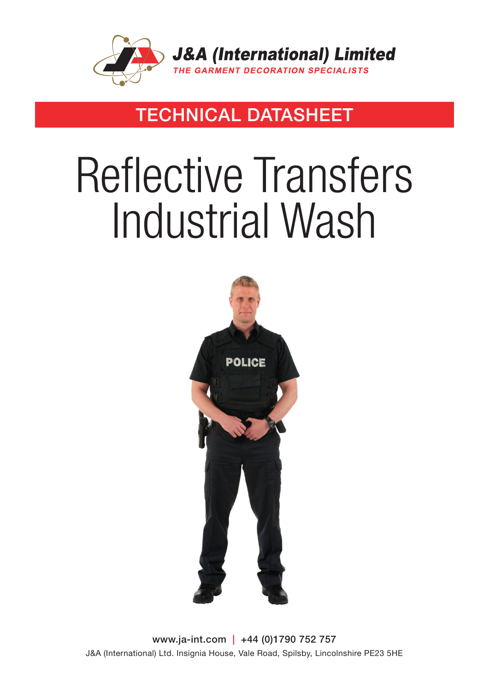

### TECHNICAL DATASHEET

# Reflective Transfers Industrial Wash



www.ja-int.com | +44 (0)1790 752 757 J&A (International) Ltd. Insignia House, Vale Road, Spilsby, Lincolnshire PE23 5HE